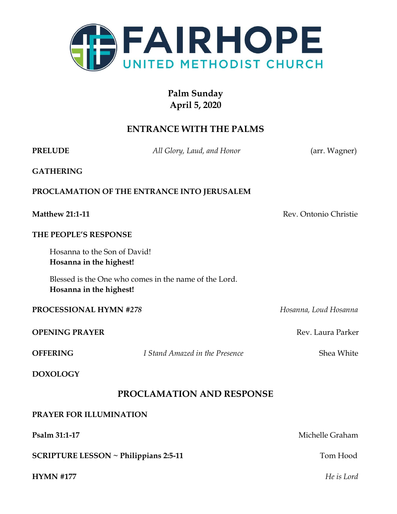

### **Palm Sunday April 5, 2020**

#### **ENTRANCE WITH THE PALMS**

**PRELUDE** *All Glory, Laud, and Honor* (arr. Wagner)

**GATHERING**

#### **PROCLAMATION OF THE ENTRANCE INTO JERUSALEM**

**Matthew 21:1-11** Rev. Ontonio Christie

#### **THE PEOPLE'S RESPONSE**

Hosanna to the Son of David! **Hosanna in the highest!**

Blessed is the One who comes in the name of the Lord. **Hosanna in the highest!**

#### **PROCESSIONAL HYMN** *#278 Hosanna, Loud Hosanna*

**OPENING PRAYER** Rev. Laura Parker

**OFFERING** *I Stand Amazed in the Presence* Shea White

**DOXOLOGY**

#### **PROCLAMATION AND RESPONSE**

#### **PRAYER FOR ILLUMINATION**

**Psalm 31:1-17** Michelle Graham **SCRIPTURE LESSON** ~ Philippians 2:5-11 Tom Hood **HYMN #177** *He is Lord*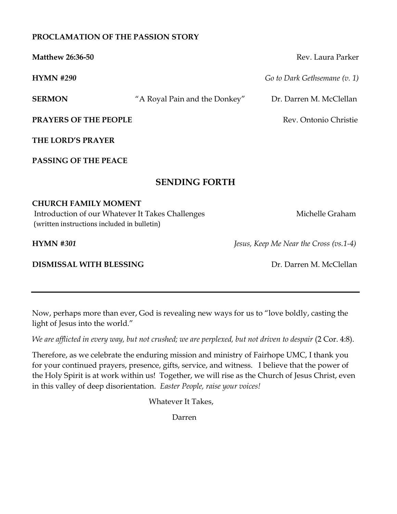#### **PROCLAMATION OF THE PASSION STORY**

| <b>Matthew 26:36-50</b>                                                                                                        |                               | Rev. Laura Parker                      |
|--------------------------------------------------------------------------------------------------------------------------------|-------------------------------|----------------------------------------|
| <b>HYMN #290</b>                                                                                                               |                               | Go to Dark Gethsemane (v. 1)           |
| <b>SERMON</b>                                                                                                                  | "A Royal Pain and the Donkey" | Dr. Darren M. McClellan                |
| PRAYERS OF THE PEOPLE                                                                                                          |                               | Rev. Ontonio Christie                  |
| THE LORD'S PRAYER                                                                                                              |                               |                                        |
| <b>PASSING OF THE PEACE</b>                                                                                                    |                               |                                        |
|                                                                                                                                | <b>SENDING FORTH</b>          |                                        |
| <b>CHURCH FAMILY MOMENT</b><br>Introduction of our Whatever It Takes Challenges<br>(written instructions included in bulletin) |                               | Michelle Graham                        |
| <b>HYMN #301</b>                                                                                                               |                               | Jesus, Keep Me Near the Cross (vs.1-4) |
| DISMISSAL WITH BLESSING                                                                                                        |                               | Dr. Darren M. McClellan                |

Now, perhaps more than ever, God is revealing new ways for us to "love boldly, casting the light of Jesus into the world."

*We are afflicted in every way, but not crushed; we are perplexed, but not driven to despair* (2 Cor. 4:8).

Therefore, as we celebrate the enduring mission and ministry of Fairhope UMC, I thank you for your continued prayers, presence, gifts, service, and witness. I believe that the power of the Holy Spirit is at work within us! Together, we will rise as the Church of Jesus Christ, even in this valley of deep disorientation. *Easter People, raise your voices!*

Whatever It Takes,

Darren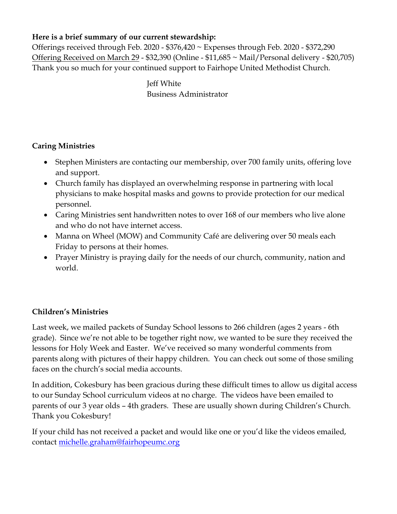#### **Here is a brief summary of our current stewardship:**

Offerings received through Feb. 2020 - \$376,420 ~ Expenses through Feb. 2020 - \$372,290 Offering Received on March 29 - \$32,390 (Online - \$11,685 ~ Mail/Personal delivery - \$20,705) Thank you so much for your continued support to Fairhope United Methodist Church.

> Jeff White Business Administrator

#### **Caring Ministries**

- Stephen Ministers are contacting our membership, over 700 family units, offering love and support.
- Church family has displayed an overwhelming response in partnering with local physicians to make hospital masks and gowns to provide protection for our medical personnel.
- Caring Ministries sent handwritten notes to over 168 of our members who live alone and who do not have internet access.
- Manna on Wheel (MOW) and Community Café are delivering over 50 meals each Friday to persons at their homes.
- Prayer Ministry is praying daily for the needs of our church, community, nation and world.

#### **Children's Ministries**

Last week, we mailed packets of Sunday School lessons to 266 children (ages 2 years - 6th grade). Since we're not able to be together right now, we wanted to be sure they received the lessons for Holy Week and Easter. We've received so many wonderful comments from parents along with pictures of their happy children. You can check out some of those smiling faces on the church's social media accounts.

In addition, Cokesbury has been gracious during these difficult times to allow us digital access to our Sunday School curriculum videos at no charge. The videos have been emailed to parents of our 3 year olds – 4th graders. These are usually shown during Children's Church. Thank you Cokesbury!

If your child has not received a packet and would like one or you'd like the videos emailed, contact [michelle.graham@fairhopeumc.org](mailto:michelle.graham@fairhopeumc.org)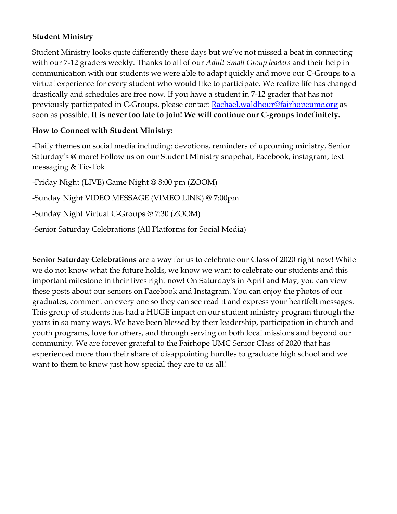#### **Student Ministry**

Student Ministry looks quite differently these days but we've not missed a beat in connecting with our 7-12 graders weekly. Thanks to all of our *Adult Small Group leaders* and their help in communication with our students we were able to adapt quickly and move our C-Groups to a virtual experience for every student who would like to participate. We realize life has changed drastically and schedules are free now. If you have a student in 7-12 grader that has not previously participated in C-Groups, please contact **Rachael**.waldhour@fairhopeumc.org as soon as possible. **It is never too late to join! We will continue our C-groups indefinitely.**

#### **How to Connect with Student Ministry:**

-Daily themes on social media including: devotions, reminders of upcoming ministry, Senior Saturday's @ more! Follow us on our Student Ministry snapchat, Facebook, instagram, text messaging & Tic-Tok

-Friday Night (LIVE) Game Night @ 8:00 pm (ZOOM) -Sunday Night VIDEO MESSAGE (VIMEO LINK) @ 7:00pm -Sunday Night Virtual C-Groups @ 7:30 (ZOOM) -Senior Saturday Celebrations (All Platforms for Social Media)

**Senior Saturday Celebrations** are a way for us to celebrate our Class of 2020 right now! While we do not know what the future holds, we know we want to celebrate our students and this important milestone in their lives right now! On Saturday's in April and May, you can view these posts about our seniors on Facebook and Instagram. You can enjoy the photos of our graduates, comment on every one so they can see read it and express your heartfelt messages. This group of students has had a HUGE impact on our student ministry program through the years in so many ways. We have been blessed by their leadership, participation in church and youth programs, love for others, and through serving on both local missions and beyond our community. We are forever grateful to the Fairhope UMC Senior Class of 2020 that has experienced more than their share of disappointing hurdles to graduate high school and we want to them to know just how special they are to us all!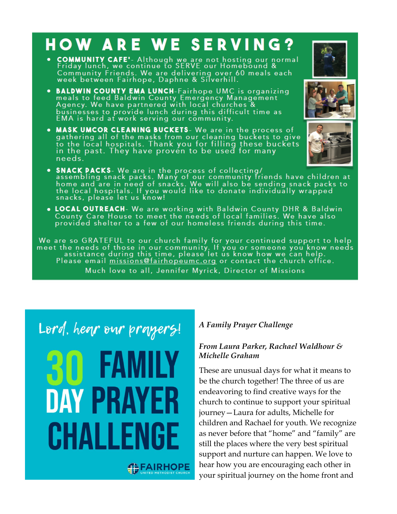# **HOW ARE WE SERVING?**

- **COMMUNITY CAFE'** Although we are not hosting our normal<br>Friday lunch, we continue to SERVE our Homebound & Community Friends. We are delivering over 60 meals each<br>week between Fairhope, Daphne & Silverhill.
- BALDWIN COUNTY EMA LUNCH-Fairhope UMC is organizing<br>meals to feed Baldwin County Emergency Management<br>Agency. We have partnered with local churches &<br>businesses to provide lunch during this difficult time as<br>EMA is hard
- MASK UMCOR CLEANING BUCKETS- We are in the process of gathering all of the masks from our cleaning buckets to give to the local hospitals. Thank you for filling these buckets in the past. They have proven to be used for needs.
- SNACK PACKS- We are in the process of collecting/<br>assembling snack packs. Many of our community friends have children at<br>home and are in need of snacks. We will also be sending snack packs to<br>the local hospitals. If you
- LOCAL OUTREACH- We are working with Baldwin County DHR & Baldwin<br>County Care House to meet the needs of local families. We have also<br>provided shelter to a few of our homeless friends during this time.

We are so GRATEFUL to our church family for your continued support to help<br>meet the needs of those in our community. If you or someone you know needs<br>assistance during this time, please let us know how we can help.<br>Please Much love to all, Jennifer Myrick, Director of Missions

Lord, hear our prayers!

**DAY PRAY** CHALLENGE

## **SEAIRHOPE**

#### *A Family Prayer Challenge*

#### *From Laura Parker, Rachael Waldhour & Michelle Graham*

These are unusual days for what it means to be the church together! The three of us are endeavoring to find creative ways for the church to continue to support your spiritual journey—Laura for adults, Michelle for children and Rachael for youth. We recognize as never before that "home" and "family" are still the places where the very best spiritual support and nurture can happen. We love to hear how you are encouraging each other in your spiritual journey on the home front and



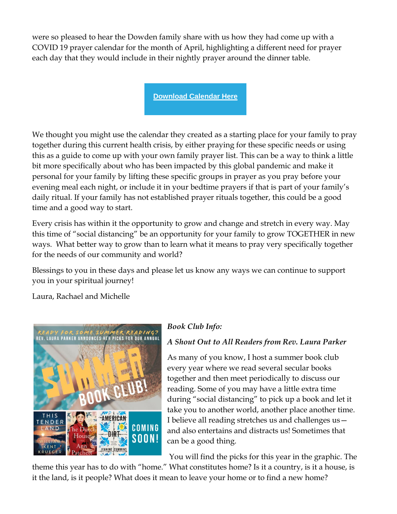were so pleased to hear the Dowden family share with us how they had come up with a COVID 19 prayer calendar for the month of April, highlighting a different need for prayer each day that they would include in their nightly prayer around the dinner table.

**[Download Calendar Here](https://fairhopeumc.us14.list-manage.com/track/click?u=044431ffe7948d7bda56eee38&id=93f1a6d993&e=29ffa4bca0)**

We thought you might use the calendar they created as a starting place for your family to pray together during this current health crisis, by either praying for these specific needs or using this as a guide to come up with your own family prayer list. This can be a way to think a little bit more specifically about who has been impacted by this global pandemic and make it personal for your family by lifting these specific groups in prayer as you pray before your evening meal each night, or include it in your bedtime prayers if that is part of your family's daily ritual. If your family has not established prayer rituals together, this could be a good time and a good way to start.

Every crisis has within it the opportunity to grow and change and stretch in every way. May this time of "social distancing" be an opportunity for your family to grow TOGETHER in new ways. What better way to grow than to learn what it means to pray very specifically together for the needs of our community and world?

Blessings to you in these days and please let us know any ways we can continue to support you in your spiritual journey!

Laura, Rachael and Michelle



#### *Book Club Info:*

#### *A Shout Out to All Readers from Rev. Laura Parker*

As many of you know, I host a summer book club every year where we read several secular books together and then meet periodically to discuss our reading. Some of you may have a little extra time during "social distancing" to pick up a book and let it take you to another world, another place another time. I believe all reading stretches us and challenges us and also entertains and distracts us! Sometimes that can be a good thing.

You will find the picks for this year in the graphic. The

theme this year has to do with "home." What constitutes home? Is it a country, is it a house, is it the land, is it people? What does it mean to leave your home or to find a new home?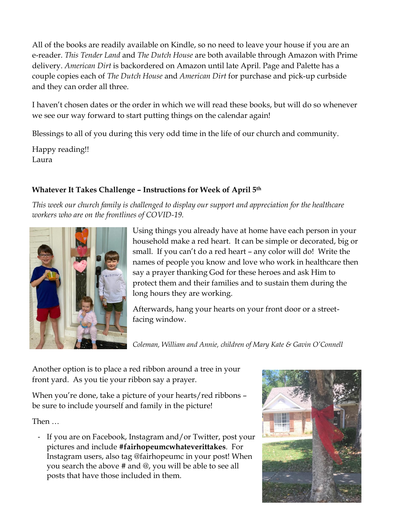All of the books are readily available on Kindle, so no need to leave your house if you are an e-reader. *This Tender Land* and *The Dutch House* are both available through Amazon with Prime delivery. *American Dirt* is backordered on Amazon until late April. Page and Palette has a couple copies each of *The Dutch House* and *American Dirt* for purchase and pick-up curbside and they can order all three.

I haven't chosen dates or the order in which we will read these books, but will do so whenever we see our way forward to start putting things on the calendar again!

Blessings to all of you during this very odd time in the life of our church and community.

Happy reading!! Laura

#### **Whatever It Takes Challenge – Instructions for Week of April 5th**

*This week our church family is challenged to display our support and appreciation for the healthcare workers who are on the frontlines of COVID-19.*



Using things you already have at home have each person in your household make a red heart. It can be simple or decorated, big or small. If you can't do a red heart – any color will do! Write the names of people you know and love who work in healthcare then say a prayer thanking God for these heroes and ask Him to protect them and their families and to sustain them during the long hours they are working.

Afterwards, hang your hearts on your front door or a streetfacing window.

*Coleman, William and Annie, children of Mary Kate & Gavin O'Connell*

Another option is to place a red ribbon around a tree in your front yard. As you tie your ribbon say a prayer.

When you're done, take a picture of your hearts/red ribbons – be sure to include yourself and family in the picture!

Then …

- If you are on Facebook, Instagram and/or Twitter, post your pictures and include **#fairhopeumcwhateverittakes**. For Instagram users, also tag @fairhopeumc in your post! When you search the above # and @, you will be able to see all posts that have those included in them.